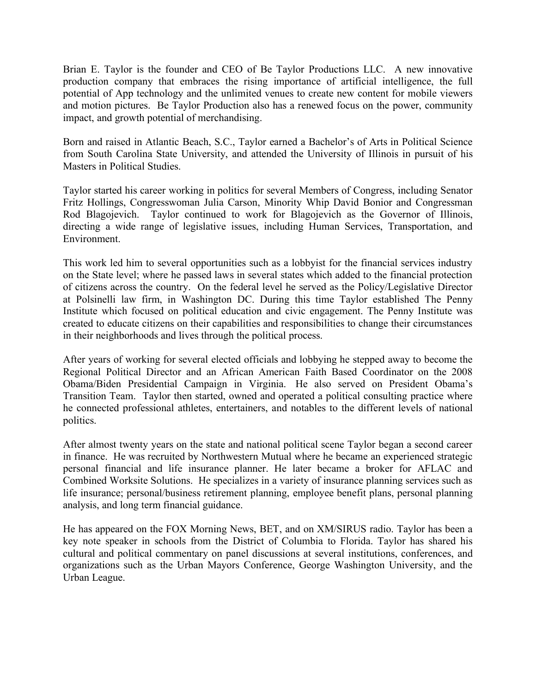Brian E. Taylor is the founder and CEO of Be Taylor Productions LLC. A new innovative production company that embraces the rising importance of artificial intelligence, the full potential of App technology and the unlimited venues to create new content for mobile viewers and motion pictures. Be Taylor Production also has a renewed focus on the power, community impact, and growth potential of merchandising.

Born and raised in Atlantic Beach, S.C., Taylor earned a Bachelor's of Arts in Political Science from South Carolina State University, and attended the University of Illinois in pursuit of his Masters in Political Studies.

Taylor started his career working in politics for several Members of Congress, including Senator Fritz Hollings, Congresswoman Julia Carson, Minority Whip David Bonior and Congressman Rod Blagojevich. Taylor continued to work for Blagojevich as the Governor of Illinois, directing a wide range of legislative issues, including Human Services, Transportation, and Environment.

This work led him to several opportunities such as a lobbyist for the financial services industry on the State level; where he passed laws in several states which added to the financial protection of citizens across the country. On the federal level he served as the Policy/Legislative Director at Polsinelli law firm, in Washington DC. During this time Taylor established The Penny Institute which focused on political education and civic engagement. The Penny Institute was created to educate citizens on their capabilities and responsibilities to change their circumstances in their neighborhoods and lives through the political process.

After years of working for several elected officials and lobbying he stepped away to become the Regional Political Director and an African American Faith Based Coordinator on the 2008 Obama/Biden Presidential Campaign in Virginia. He also served on President Obama's Transition Team. Taylor then started, owned and operated a political consulting practice where he connected professional athletes, entertainers, and notables to the different levels of national politics.

After almost twenty years on the state and national political scene Taylor began a second career in finance. He was recruited by Northwestern Mutual where he became an experienced strategic personal financial and life insurance planner. He later became a broker for AFLAC and Combined Worksite Solutions. He specializes in a variety of insurance planning services such as life insurance; personal/business retirement planning, employee benefit plans, personal planning analysis, and long term financial guidance.

He has appeared on the FOX Morning News, BET, and on XM/SIRUS radio. Taylor has been a key note speaker in schools from the District of Columbia to Florida. Taylor has shared his cultural and political commentary on panel discussions at several institutions, conferences, and organizations such as the Urban Mayors Conference, George Washington University, and the Urban League.